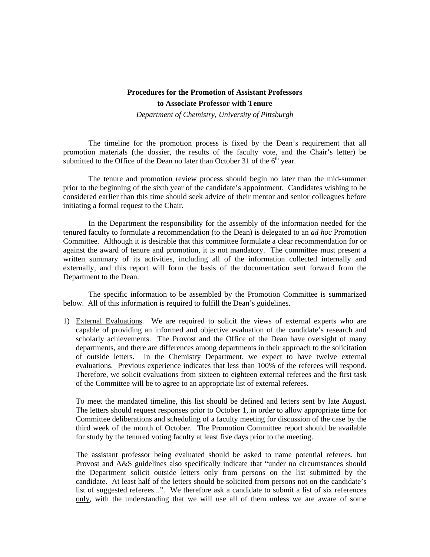# **Procedures for the Promotion of Assistant Professors to Associate Professor with Tenure**  *Department of Chemistry, University of Pittsburgh*

 The timeline for the promotion process is fixed by the Dean's requirement that all promotion materials (the dossier, the results of the faculty vote, and the Chair's letter) be submitted to the Office of the Dean no later than October 31 of the  $6<sup>th</sup>$  year.

 The tenure and promotion review process should begin no later than the mid-summer prior to the beginning of the sixth year of the candidate's appointment. Candidates wishing to be considered earlier than this time should seek advice of their mentor and senior colleagues before initiating a formal request to the Chair.

 In the Department the responsibility for the assembly of the information needed for the tenured faculty to formulate a recommendation (to the Dean) is delegated to an *ad hoc* Promotion Committee. Although it is desirable that this committee formulate a clear recommendation for or against the award of tenure and promotion, it is not mandatory. The committee must present a written summary of its activities, including all of the information collected internally and externally, and this report will form the basis of the documentation sent forward from the Department to the Dean.

 The specific information to be assembled by the Promotion Committee is summarized below. All of this information is required to fulfill the Dean's guidelines.

1) External Evaluations. We are required to solicit the views of external experts who are capable of providing an informed and objective evaluation of the candidate's research and scholarly achievements. The Provost and the Office of the Dean have oversight of many departments, and there are differences among departments in their approach to the solicitation of outside letters. In the Chemistry Department, we expect to have twelve external evaluations. Previous experience indicates that less than 100% of the referees will respond. Therefore, we solicit evaluations from sixteen to eighteen external referees and the first task of the Committee will be to agree to an appropriate list of external referees.

 To meet the mandated timeline, this list should be defined and letters sent by late August. The letters should request responses prior to October 1, in order to allow appropriate time for Committee deliberations and scheduling of a faculty meeting for discussion of the case by the third week of the month of October. The Promotion Committee report should be available for study by the tenured voting faculty at least five days prior to the meeting.

 The assistant professor being evaluated should be asked to name potential referees, but Provost and A&S guidelines also specifically indicate that "under no circumstances should the Department solicit outside letters only from persons on the list submitted by the candidate. At least half of the letters should be solicited from persons not on the candidate's list of suggested referees...". We therefore ask a candidate to submit a list of six references only, with the understanding that we will use all of them unless we are aware of some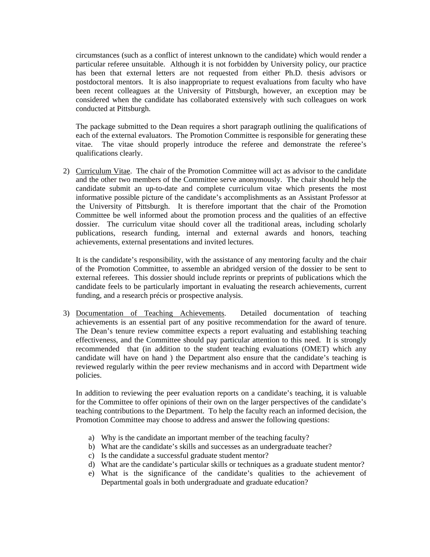circumstances (such as a conflict of interest unknown to the candidate) which would render a particular referee unsuitable. Although it is not forbidden by University policy, our practice has been that external letters are not requested from either Ph.D. thesis advisors or postdoctoral mentors. It is also inappropriate to request evaluations from faculty who have been recent colleagues at the University of Pittsburgh, however, an exception may be considered when the candidate has collaborated extensively with such colleagues on work conducted at Pittsburgh.

 The package submitted to the Dean requires a short paragraph outlining the qualifications of each of the external evaluators. The Promotion Committee is responsible for generating these vitae. The vitae should properly introduce the referee and demonstrate the referee's qualifications clearly.

2) Curriculum Vitae. The chair of the Promotion Committee will act as advisor to the candidate and the other two members of the Committee serve anonymously. The chair should help the candidate submit an up-to-date and complete curriculum vitae which presents the most informative possible picture of the candidate's accomplishments as an Assistant Professor at the University of Pittsburgh. It is therefore important that the chair of the Promotion Committee be well informed about the promotion process and the qualities of an effective dossier. The curriculum vitae should cover all the traditional areas, including scholarly publications, research funding, internal and external awards and honors, teaching achievements, external presentations and invited lectures.

 It is the candidate's responsibility, with the assistance of any mentoring faculty and the chair of the Promotion Committee, to assemble an abridged version of the dossier to be sent to external referees. This dossier should include reprints or preprints of publications which the candidate feels to be particularly important in evaluating the research achievements, current funding, and a research précis or prospective analysis.

3) Documentation of Teaching Achievements. Detailed documentation of teaching achievements is an essential part of any positive recommendation for the award of tenure. The Dean's tenure review committee expects a report evaluating and establishing teaching effectiveness, and the Committee should pay particular attention to this need. It is strongly recommended that (in addition to the student teaching evaluations (OMET) which any candidate will have on hand ) the Department also ensure that the candidate's teaching is reviewed regularly within the peer review mechanisms and in accord with Department wide policies.

 In addition to reviewing the peer evaluation reports on a candidate's teaching, it is valuable for the Committee to offer opinions of their own on the larger perspectives of the candidate's teaching contributions to the Department. To help the faculty reach an informed decision, the Promotion Committee may choose to address and answer the following questions:

- a) Why is the candidate an important member of the teaching faculty?
- b) What are the candidate's skills and successes as an undergraduate teacher?
- c) Is the candidate a successful graduate student mentor?
- d) What are the candidate's particular skills or techniques as a graduate student mentor?
- e) What is the significance of the candidate's qualities to the achievement of Departmental goals in both undergraduate and graduate education?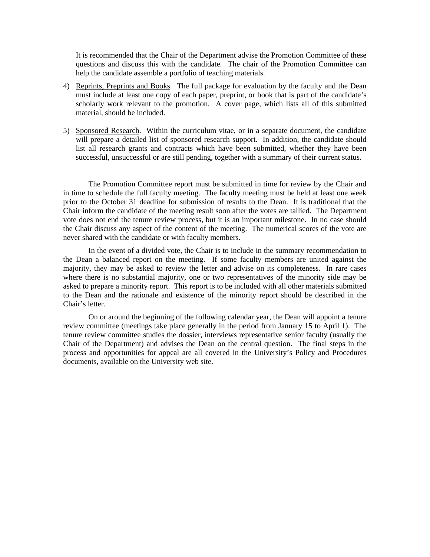It is recommended that the Chair of the Department advise the Promotion Committee of these questions and discuss this with the candidate. The chair of the Promotion Committee can help the candidate assemble a portfolio of teaching materials.

- 4) Reprints, Preprints and Books. The full package for evaluation by the faculty and the Dean must include at least one copy of each paper, preprint, or book that is part of the candidate's scholarly work relevant to the promotion. A cover page, which lists all of this submitted material, should be included.
- 5) Sponsored Research. Within the curriculum vitae, or in a separate document, the candidate will prepare a detailed list of sponsored research support. In addition, the candidate should list all research grants and contracts which have been submitted, whether they have been successful, unsuccessful or are still pending, together with a summary of their current status.

 The Promotion Committee report must be submitted in time for review by the Chair and in time to schedule the full faculty meeting. The faculty meeting must be held at least one week prior to the October 31 deadline for submission of results to the Dean. It is traditional that the Chair inform the candidate of the meeting result soon after the votes are tallied. The Department vote does not end the tenure review process, but it is an important milestone. In no case should the Chair discuss any aspect of the content of the meeting. The numerical scores of the vote are never shared with the candidate or with faculty members.

 In the event of a divided vote, the Chair is to include in the summary recommendation to the Dean a balanced report on the meeting. If some faculty members are united against the majority, they may be asked to review the letter and advise on its completeness. In rare cases where there is no substantial majority, one or two representatives of the minority side may be asked to prepare a minority report. This report is to be included with all other materials submitted to the Dean and the rationale and existence of the minority report should be described in the Chair's letter.

 On or around the beginning of the following calendar year, the Dean will appoint a tenure review committee (meetings take place generally in the period from January 15 to April 1). The tenure review committee studies the dossier, interviews representative senior faculty (usually the Chair of the Department) and advises the Dean on the central question. The final steps in the process and opportunities for appeal are all covered in the University's Policy and Procedures documents, available on the University web site.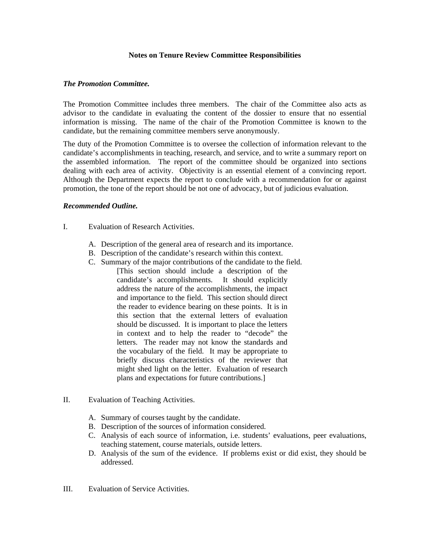### **Notes on Tenure Review Committee Responsibilities**

## *The Promotion Committee.*

The Promotion Committee includes three members. The chair of the Committee also acts as advisor to the candidate in evaluating the content of the dossier to ensure that no essential information is missing. The name of the chair of the Promotion Committee is known to the candidate, but the remaining committee members serve anonymously.

The duty of the Promotion Committee is to oversee the collection of information relevant to the candidate's accomplishments in teaching, research, and service, and to write a summary report on the assembled information. The report of the committee should be organized into sections dealing with each area of activity. Objectivity is an essential element of a convincing report. Although the Department expects the report to conclude with a recommendation for or against promotion, the tone of the report should be not one of advocacy, but of judicious evaluation.

### *Recommended Outline.*

- I. Evaluation of Research Activities.
	- A. Description of the general area of research and its importance.
	- B. Description of the candidate's research within this context.
	- C. Summary of the major contributions of the candidate to the field. [This section should include a description of the candidate's accomplishments. It should explicitly address the nature of the accomplishments, the impact and importance to the field. This section should direct the reader to evidence bearing on these points. It is in this section that the external letters of evaluation should be discussed. It is important to place the letters in context and to help the reader to "decode" the letters. The reader may not know the standards and the vocabulary of the field. It may be appropriate to briefly discuss characteristics of the reviewer that might shed light on the letter. Evaluation of research plans and expectations for future contributions.]
- II. Evaluation of Teaching Activities.
	- A. Summary of courses taught by the candidate.
	- B. Description of the sources of information considered.
	- C. Analysis of each source of information, i.e. students' evaluations, peer evaluations, teaching statement, course materials, outside letters.
	- D. Analysis of the sum of the evidence. If problems exist or did exist, they should be addressed.
- III. Evaluation of Service Activities.